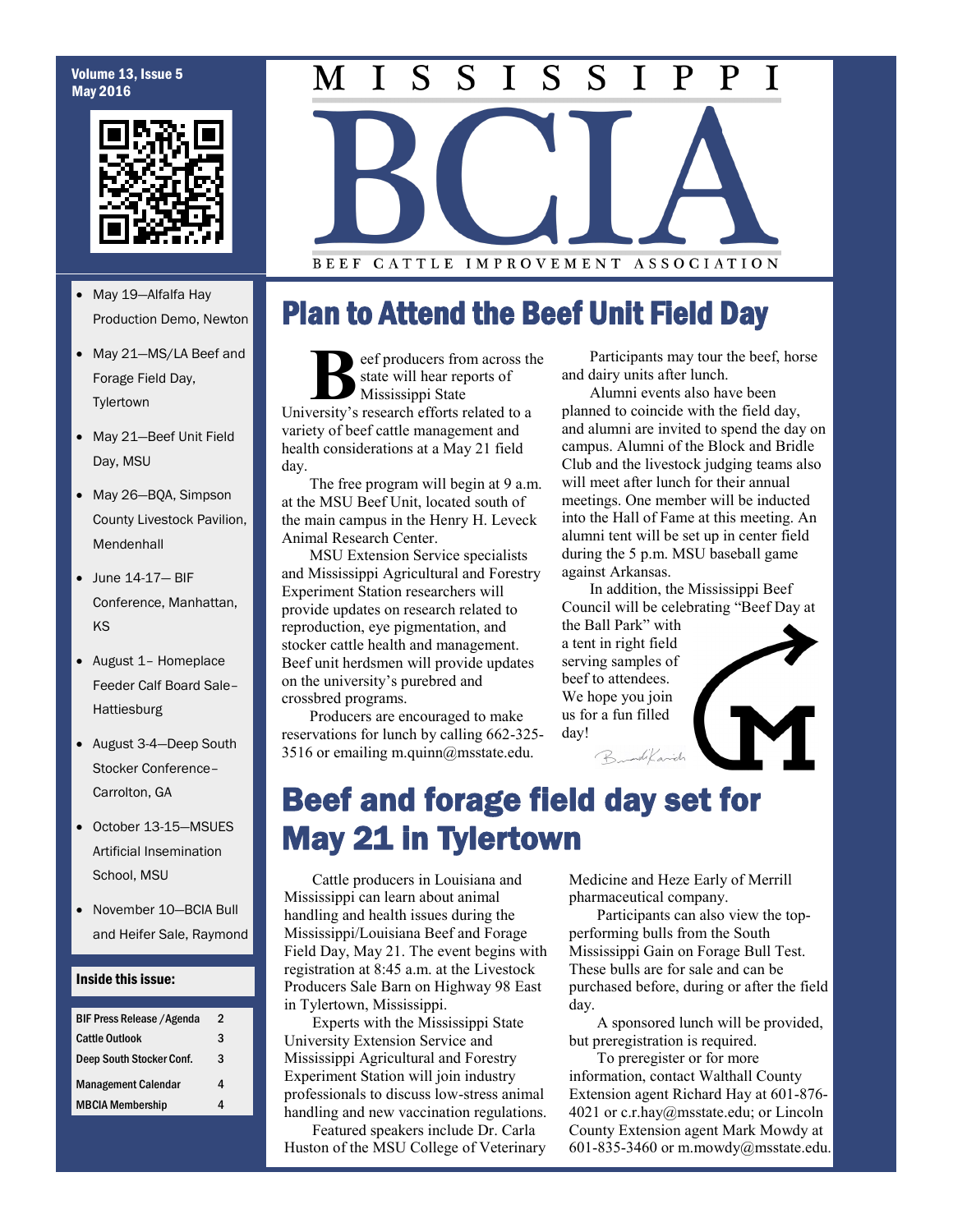### Volume 13, Issue 5 May 2016



- May 19—Alfalfa Hay Production Demo, Newton
- May 21—MS/LA Beef and Forage Field Day, **Tylertown**
- May 21—Beef Unit Field Day, MSU
- May 26-BQA, Simpson County Livestock Pavilion, Mendenhall
- June 14-17— BIF Conference, Manhattan, KS
- August 1– Homeplace Feeder Calf Board Sale– Hattiesburg
- August 3-4—Deep South Stocker Conference– Carrolton, GA
- October 13-15—MSUES Artificial Insemination School, MSU
- November 10-BCIA Bull and Heifer Sale, Raymond

### Inside this issue:

| <b>BIF Press Release / Agenda</b> | 2 |
|-----------------------------------|---|
| <b>Cattle Outlook</b>             | 3 |
| Deep South Stocker Conf.          | 3 |
| <b>Management Calendar</b>        |   |
| <b>MBCIA Membership</b>           | л |

### S S S S  $\mathbf P$ T T P  $\mathbf I$ M

BEEF CATTLE IMPROVEMENT ASSOCIATION

## Plan to Attend the Beef Unit Field Day

**B**state will hear reports of<br>
University's research efforts related to a eef producers from across the state will hear reports of Mississippi State variety of beef cattle management and health considerations at a May 21 field day.

The free program will begin at 9 a.m. at the MSU Beef Unit, located south of the main campus in the Henry H. Leveck Animal Research Center.

MSU Extension Service specialists and Mississippi Agricultural and Forestry Experiment Station researchers will provide updates on research related to reproduction, eye pigmentation, and stocker cattle health and management. Beef unit herdsmen will provide updates on the university's purebred and crossbred programs.

Producers are encouraged to make reservations for lunch by calling 662-325- 3516 or emailing m.quinn@msstate.edu.

Participants may tour the beef, horse and dairy units after lunch.

Alumni events also have been planned to coincide with the field day, and alumni are invited to spend the day on campus. Alumni of the Block and Bridle Club and the livestock judging teams also will meet after lunch for their annual meetings. One member will be inducted into the Hall of Fame at this meeting. An alumni tent will be set up in center field during the 5 p.m. MSU baseball game against Arkansas.

In addition, the Mississippi Beef Council will be celebrating "Beef Day at

the Ball Park" with a tent in right field serving samples of beef to attendees. We hope you join us for a fun filled day!



## Beef and forage field day set for May 21 in Tylertown

Cattle producers in Louisiana and Mississippi can learn about animal handling and health issues during the Mississippi/Louisiana Beef and Forage Field Day, May 21. The event begins with registration at 8:45 a.m. at the Livestock Producers Sale Barn on Highway 98 East in Tylertown, Mississippi.

Experts with the Mississippi State University Extension Service and Mississippi Agricultural and Forestry Experiment Station will join industry professionals to discuss low-stress animal handling and new vaccination regulations.

Featured speakers include Dr. Carla Huston of the MSU College of Veterinary Medicine and Heze Early of Merrill pharmaceutical company.

Participants can also view the topperforming bulls from the South Mississippi Gain on Forage Bull Test. These bulls are for sale and can be purchased before, during or after the field day.

A sponsored lunch will be provided, but preregistration is required.

To preregister or for more information, contact Walthall County Extension agent Richard Hay at 601-876- 4021 or c.r.hay@msstate.edu; or Lincoln County Extension agent Mark Mowdy at 601-835-3460 or m.mowdy@msstate.edu.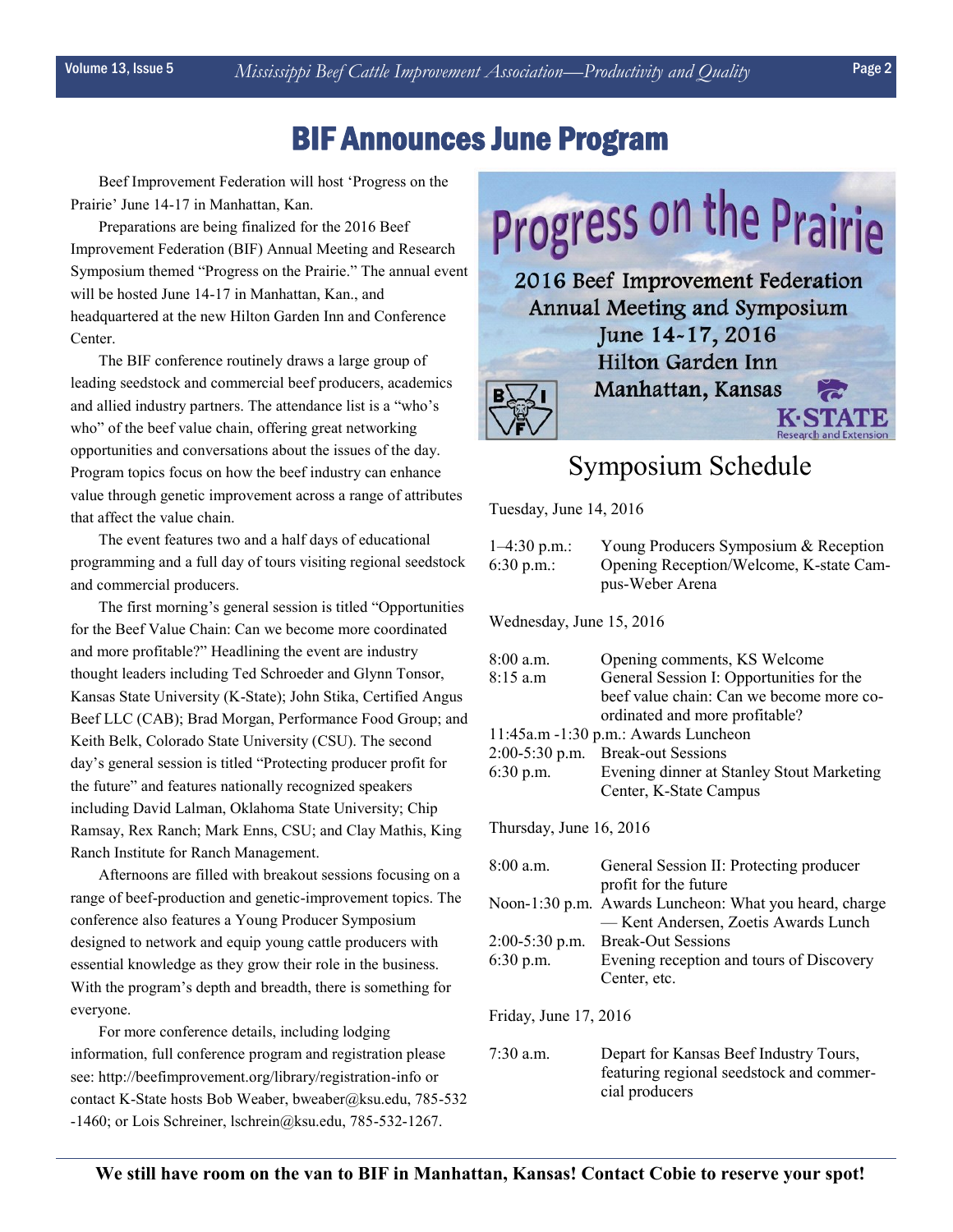## BIF Announces June Program

Beef Improvement Federation will host 'Progress on the Prairie' June 14-17 in Manhattan, Kan.

Preparations are being finalized for the 2016 Beef Improvement Federation (BIF) Annual Meeting and Research Symposium themed "Progress on the Prairie." The annual event will be hosted June 14-17 in Manhattan, Kan., and headquartered at the new Hilton Garden Inn and Conference Center.

The BIF conference routinely draws a large group of leading seedstock and commercial beef producers, academics and allied industry partners. The attendance list is a "who's who" of the beef value chain, offering great networking opportunities and conversations about the issues of the day. Program topics focus on how the beef industry can enhance value through genetic improvement across a range of attributes that affect the value chain.

The event features two and a half days of educational programming and a full day of tours visiting regional seedstock and commercial producers.

The first morning's general session is titled "Opportunities for the Beef Value Chain: Can we become more coordinated and more profitable?" Headlining the event are industry thought leaders including Ted Schroeder and Glynn Tonsor, Kansas State University (K-State); John Stika, Certified Angus Beef LLC (CAB); Brad Morgan, Performance Food Group; and Keith Belk, Colorado State University (CSU). The second day's general session is titled "Protecting producer profit for the future" and features nationally recognized speakers including David Lalman, Oklahoma State University; Chip Ramsay, Rex Ranch; Mark Enns, CSU; and Clay Mathis, King Ranch Institute for Ranch Management.

Afternoons are filled with breakout sessions focusing on a range of beef-production and genetic-improvement topics. The conference also features a Young Producer Symposium designed to network and equip young cattle producers with essential knowledge as they grow their role in the business. With the program's depth and breadth, there is something for everyone.

For more conference details, including lodging information, full conference program and registration please see: http://beefimprovement.org/library/registration-info or contact K-State hosts Bob Weaber, bweaber@ksu.edu, 785-532 -1460; or Lois Schreiner, lschrein@ksu.edu, 785-532-1267.



## Symposium Schedule

Tuesday, June 14, 2016

| $1-4:30$ p.m.:<br>6:30 p.m.:         | Young Producers Symposium & Reception<br>Opening Reception/Welcome, K-state Cam-<br>pus-Weber Arena                                                    |  |  |
|--------------------------------------|--------------------------------------------------------------------------------------------------------------------------------------------------------|--|--|
| Wednesday, June 15, 2016             |                                                                                                                                                        |  |  |
| $8:00$ a.m.<br>8:15a.m               | Opening comments, KS Welcome<br>General Session I: Opportunities for the<br>beef value chain: Can we become more co-<br>ordinated and more profitable? |  |  |
| 11:45a.m -1:30 p.m.: Awards Luncheon |                                                                                                                                                        |  |  |
| $2:00-5:30$ p.m.                     | <b>Break-out Sessions</b>                                                                                                                              |  |  |
| 6:30 p.m.                            | Evening dinner at Stanley Stout Marketing<br>Center, K-State Campus                                                                                    |  |  |
| Thursday, June 16, 2016              |                                                                                                                                                        |  |  |
| $8:00$ a.m.                          | General Session II: Protecting producer<br>profit for the future                                                                                       |  |  |
|                                      | Noon-1:30 p.m. Awards Luncheon: What you heard, charge<br>-Kent Andersen, Zoetis Awards Lunch                                                          |  |  |
| $2:00-5:30$ p.m.                     | <b>Break-Out Sessions</b>                                                                                                                              |  |  |
| 6:30 p.m.                            | Evening reception and tours of Discovery<br>Center, etc.                                                                                               |  |  |
| Friday, June 17, 2016                |                                                                                                                                                        |  |  |
| $7:30$ a.m.                          | Depart for Kansas Beef Industry Tours,<br>featuring regional seedstock and commer-<br>cial producers                                                   |  |  |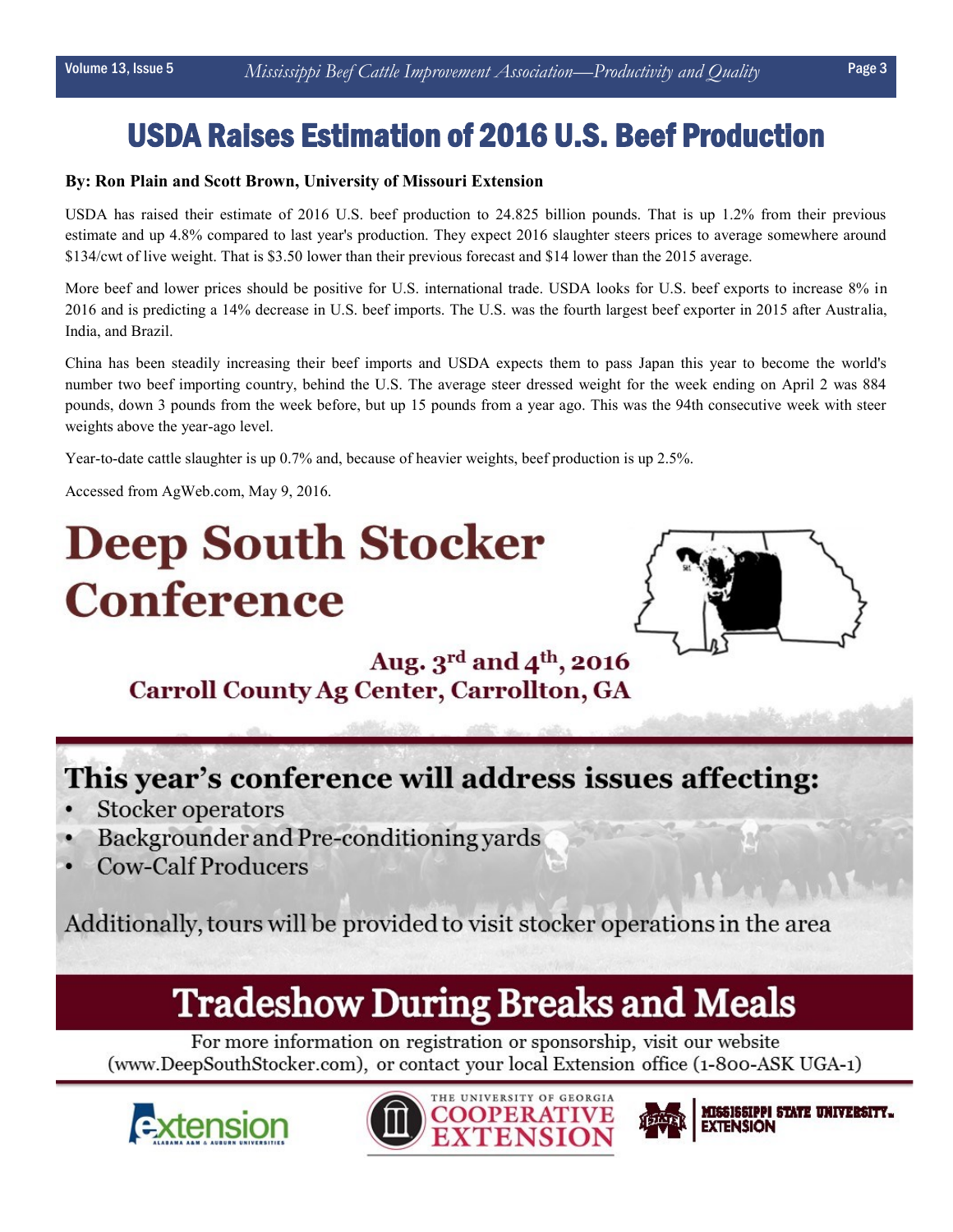## USDA Raises Estimation of 2016 U.S. Beef Production

### **By: Ron Plain and Scott Brown, University of Missouri Extension**

USDA has raised their estimate of 2016 U.S. beef production to 24.825 billion pounds. That is up 1.2% from their previous estimate and up 4.8% compared to last year's production. They expect 2016 slaughter steers prices to average somewhere around \$134/cwt of live weight. That is \$3.50 lower than their previous forecast and \$14 lower than the 2015 average.

More beef and lower prices should be positive for U.S. international trade. USDA looks for U.S. beef exports to increase 8% in 2016 and is predicting a 14% decrease in U.S. beef imports. The U.S. was the fourth largest beef exporter in 2015 after Australia, India, and Brazil.

China has been steadily increasing their beef imports and USDA expects them to pass Japan this year to become the world's number two beef importing country, behind the U.S. The average steer dressed weight for the week ending on April 2 was 884 pounds, down 3 pounds from the week before, but up 15 pounds from a year ago. This was the 94th consecutive week with steer weights above the year-ago level.

Year-to-date cattle slaughter is up 0.7% and, because of heavier weights, beef production is up 2.5%.

Accessed from AgWeb.com, May 9, 2016.

# **Deep South Stocker Conference**



### Aug. 3rd and 4<sup>th</sup>, 2016 **Carroll County Ag Center, Carrollton, GA**

## This year's conference will address issues affecting:

- **Stocker operators**
- Backgrounder and Pre-conditioning yards
- **Cow-Calf Producers**

Additionally, tours will be provided to visit stocker operations in the area

## **Tradeshow During Breaks and Meals**

For more information on registration or sponsorship, visit our website (www.DeepSouthStocker.com), or contact your local Extension office (1-800-ASK UGA-1)







MISSISSIPPI STATE UNIVERSITY... **EXTENSION**